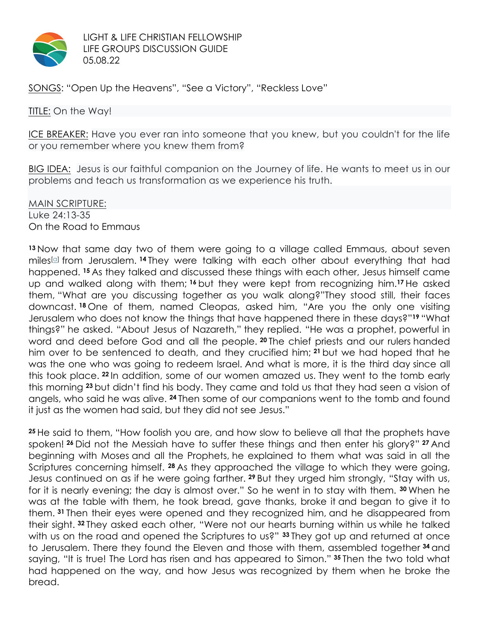

LIGHT & LIFE CHRISTIAN FELLOWSHIP LIFE GROUPS DISCUSSION GUIDE 05.08.22

SONGS: "Open Up the Heavens", "See a Victory", "Reckless Love"

#### **TITLE:** On the Way!

ICE BREAKER: Have you ever ran into someone that you knew, but you couldn't for the life or you remember where you knew them from?

BIG IDEA: Jesus is our faithful companion on the Journey of life. He wants to meet us in our problems and teach us transformation as we experience his truth.

MAIN SCRIPTURE: Luke 24:13-35 On the Road to Emmaus

**<sup>13</sup>** Now that same day two of them were going to a village called Emmaus, about seven miles<sup>[a]</sup> from Jerusalem. <sup>14</sup> They were talking with each other about everything that had happened. **<sup>15</sup>** As they talked and discussed these things with each other, Jesus himself came up and walked along with them; **<sup>16</sup>** but they were kept from recognizing him.**<sup>17</sup>** He asked them, "What are you discussing together as you walk along?"They stood still, their faces downcast. **<sup>18</sup>** One of them, named Cleopas, asked him, "Are you the only one visiting Jerusalem who does not know the things that have happened there in these days?"**<sup>19</sup>** "What things?" he asked. "About Jesus of Nazareth," they replied. "He was a prophet, powerful in word and deed before God and all the people. **<sup>20</sup>** The chief priests and our rulers handed him over to be sentenced to death, and they crucified him; **<sup>21</sup>** but we had hoped that he was the one who was going to redeem Israel. And what is more, it is the third day since all this took place. **<sup>22</sup>** In addition, some of our women amazed us. They went to the tomb early this morning **<sup>23</sup>** but didn't find his body. They came and told us that they had seen a vision of angels, who said he was alive. **<sup>24</sup>** Then some of our companions went to the tomb and found it just as the women had said, but they did not see Jesus."

**<sup>25</sup>** He said to them, "How foolish you are, and how slow to believe all that the prophets have spoken! **<sup>26</sup>** Did not the Messiah have to suffer these things and then enter his glory?" **<sup>27</sup>** And beginning with Moses and all the Prophets, he explained to them what was said in all the Scriptures concerning himself. **<sup>28</sup>** As they approached the village to which they were going, Jesus continued on as if he were going farther. **<sup>29</sup>** But they urged him strongly, "Stay with us, for it is nearly evening; the day is almost over." So he went in to stay with them. **<sup>30</sup>** When he was at the table with them, he took bread, gave thanks, broke it and began to give it to them. **<sup>31</sup>** Then their eyes were opened and they recognized him, and he disappeared from their sight. **<sup>32</sup>** They asked each other, "Were not our hearts burning within us while he talked with us on the road and opened the Scriptures to us?" **<sup>33</sup>** They got up and returned at once to Jerusalem. There they found the Eleven and those with them, assembled together **<sup>34</sup>** and saying, "It is true! The Lord has risen and has appeared to Simon." **<sup>35</sup>** Then the two told what had happened on the way, and how Jesus was recognized by them when he broke the bread.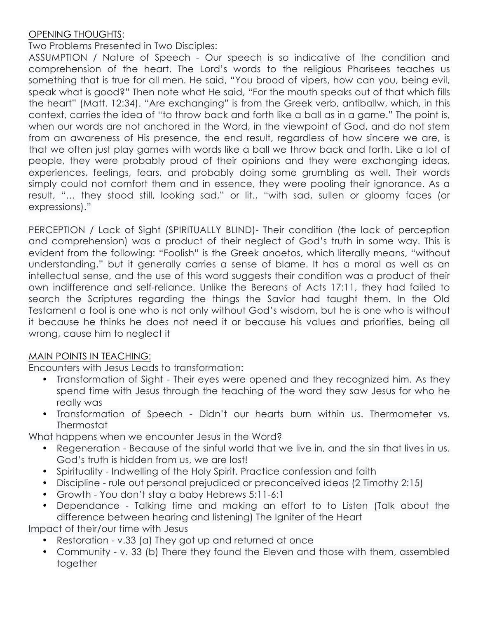# OPENING THOUGHTS:

Two Problems Presented in Two Disciples:

ASSUMPTION / Nature of Speech - Our speech is so indicative of the condition and comprehension of the heart. The Lord's words to the religious Pharisees teaches us something that is true for all men. He said, "You brood of vipers, how can you, being evil, speak what is good?" Then note what He said, "For the mouth speaks out of that which fills the heart" (Matt. 12:34). "Are exchanging" is from the Greek verb, antiballw, which, in this context, carries the idea of "to throw back and forth like a ball as in a game." The point is, when our words are not anchored in the Word, in the viewpoint of God, and do not stem from an awareness of His presence, the end result, regardless of how sincere we are, is that we often just play games with words like a ball we throw back and forth. Like a lot of people, they were probably proud of their opinions and they were exchanging ideas, experiences, feelings, fears, and probably doing some grumbling as well. Their words simply could not comfort them and in essence, they were pooling their ignorance. As a result, "… they stood still, looking sad," or lit., "with sad, sullen or gloomy faces (or expressions)."

PERCEPTION / Lack of Sight (SPIRITUALLY BLIND)- Their condition (the lack of perception and comprehension) was a product of their neglect of God's truth in some way. This is evident from the following: "Foolish" is the Greek anoetos, which literally means, "without understanding," but it generally carries a sense of blame. It has a moral as well as an intellectual sense, and the use of this word suggests their condition was a product of their own indifference and self-reliance. Unlike the Bereans of Acts 17:11, they had failed to search the Scriptures regarding the things the Savior had taught them. In the Old Testament a fool is one who is not only without God's wisdom, but he is one who is without it because he thinks he does not need it or because his values and priorities, being all wrong, cause him to neglect it

### MAIN POINTS IN TEACHING:

Encounters with Jesus Leads to transformation:

- Transformation of Sight Their eyes were opened and they recognized him. As they spend time with Jesus through the teaching of the word they saw Jesus for who he really was
- Transformation of Speech Didn't our hearts burn within us. Thermometer vs. **Thermostat**

What happens when we encounter Jesus in the Word?

- Regeneration Because of the sinful world that we live in, and the sin that lives in us. God's truth is hidden from us, we are lost!
- Spirituality Indwelling of the Holy Spirit. Practice confession and faith
- Discipline rule out personal prejudiced or preconceived ideas (2 Timothy 2:15)
- Growth You don't stay a baby Hebrews 5:11-6:1
- Dependance Talking time and making an effort to to Listen (Talk about the difference between hearing and listening) The Igniter of the Heart

Impact of their/our time with Jesus

- Restoration v.33 (a) They got up and returned at once
- Community v. 33 (b) There they found the Eleven and those with them, assembled together